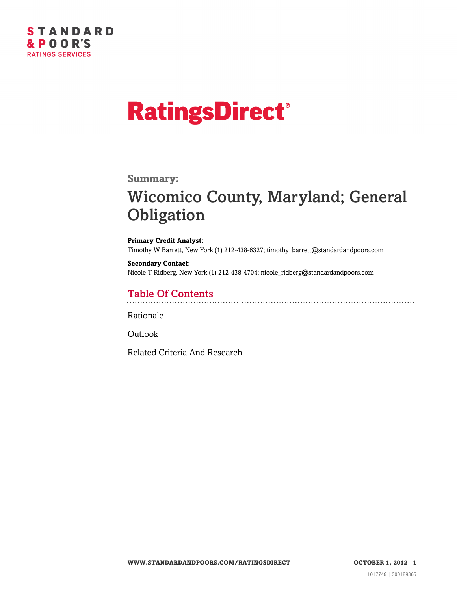

# **RatingsDirect®**

#### **Summary:**

### Wicomico County, Maryland; General **Obligation**

**Primary Credit Analyst:** Timothy W Barrett, New York (1) 212-438-6327; timothy\_barrett@standardandpoors.com

**Secondary Contact:** Nicole T Ridberg, New York (1) 212-438-4704; nicole\_ridberg@standardandpoors.com

### Table Of Contents

[Rationale](#page-1-0)

[Outlook](#page-4-0)

[Related Criteria And Research](#page-4-1)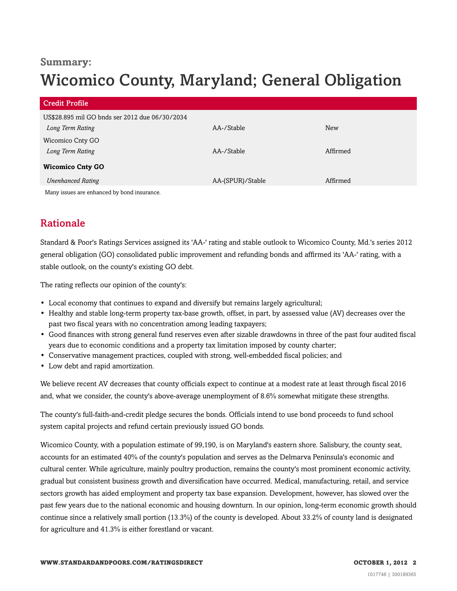### **Summary:**

## Wicomico County, Maryland; General Obligation

| <b>Credit Profile</b>                                              |                  |            |
|--------------------------------------------------------------------|------------------|------------|
| US\$28.895 mil GO bnds ser 2012 due 06/30/2034<br>Long Term Rating | AA-/Stable       | <b>New</b> |
| Wicomico Cnty GO                                                   |                  |            |
| Long Term Rating                                                   | AA-/Stable       | Affirmed   |
| <b>Wicomico Cnty GO</b>                                            |                  |            |
| <b>Unenhanced Rating</b>                                           | AA-(SPUR)/Stable | Affirmed   |
| Many issues are enhanced by bond insurance.                        |                  |            |

### <span id="page-1-0"></span>Rationale

Standard & Poor's Ratings Services assigned its 'AA-' rating and stable outlook to Wicomico County, Md.'s series 2012 general obligation (GO) consolidated public improvement and refunding bonds and affirmed its 'AA-' rating, with a stable outlook, on the county's existing GO debt.

The rating reflects our opinion of the county's:

- Local economy that continues to expand and diversify but remains largely agricultural;
- Healthy and stable long-term property tax-base growth, offset, in part, by assessed value (AV) decreases over the past two fiscal years with no concentration among leading taxpayers;
- Good finances with strong general fund reserves even after sizable drawdowns in three of the past four audited fiscal years due to economic conditions and a property tax limitation imposed by county charter;
- Conservative management practices, coupled with strong, well-embedded fiscal policies; and
- Low debt and rapid amortization.

We believe recent AV decreases that county officials expect to continue at a modest rate at least through fiscal 2016 and, what we consider, the county's above-average unemployment of 8.6% somewhat mitigate these strengths.

The county's full-faith-and-credit pledge secures the bonds. Officials intend to use bond proceeds to fund school system capital projects and refund certain previously issued GO bonds.

Wicomico County, with a population estimate of 99,190, is on Maryland's eastern shore. Salisbury, the county seat, accounts for an estimated 40% of the county's population and serves as the Delmarva Peninsula's economic and cultural center. While agriculture, mainly poultry production, remains the county's most prominent economic activity, gradual but consistent business growth and diversification have occurred. Medical, manufacturing, retail, and service sectors growth has aided employment and property tax base expansion. Development, however, has slowed over the past few years due to the national economic and housing downturn. In our opinion, long-term economic growth should continue since a relatively small portion (13.3%) of the county is developed. About 33.2% of county land is designated for agriculture and 41.3% is either forestland or vacant.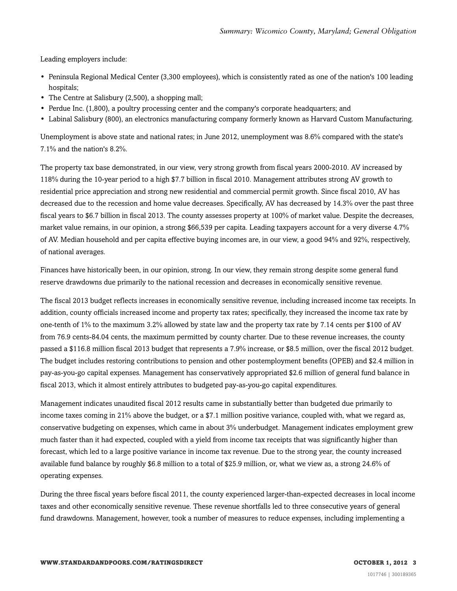Leading employers include:

- Peninsula Regional Medical Center (3,300 employees), which is consistently rated as one of the nation's 100 leading hospitals;
- The Centre at Salisbury (2,500), a shopping mall;
- Perdue Inc. (1,800), a poultry processing center and the company's corporate headquarters; and
- Labinal Salisbury (800), an electronics manufacturing company formerly known as Harvard Custom Manufacturing.

Unemployment is above state and national rates; in June 2012, unemployment was 8.6% compared with the state's 7.1% and the nation's 8.2%.

The property tax base demonstrated, in our view, very strong growth from fiscal years 2000-2010. AV increased by 118% during the 10-year period to a high \$7.7 billion in fiscal 2010. Management attributes strong AV growth to residential price appreciation and strong new residential and commercial permit growth. Since fiscal 2010, AV has decreased due to the recession and home value decreases. Specifically, AV has decreased by 14.3% over the past three fiscal years to \$6.7 billion in fiscal 2013. The county assesses property at 100% of market value. Despite the decreases, market value remains, in our opinion, a strong \$66,539 per capita. Leading taxpayers account for a very diverse 4.7% of AV. Median household and per capita effective buying incomes are, in our view, a good 94% and 92%, respectively, of national averages.

Finances have historically been, in our opinion, strong. In our view, they remain strong despite some general fund reserve drawdowns due primarily to the national recession and decreases in economically sensitive revenue.

The fiscal 2013 budget reflects increases in economically sensitive revenue, including increased income tax receipts. In addition, county officials increased income and property tax rates; specifically, they increased the income tax rate by one-tenth of 1% to the maximum 3.2% allowed by state law and the property tax rate by 7.14 cents per \$100 of AV from 76.9 cents-84.04 cents, the maximum permitted by county charter. Due to these revenue increases, the county passed a \$116.8 million fiscal 2013 budget that represents a 7.9% increase, or \$8.5 million, over the fiscal 2012 budget. The budget includes restoring contributions to pension and other postemployment benefits (OPEB) and \$2.4 million in pay-as-you-go capital expenses. Management has conservatively appropriated \$2.6 million of general fund balance in fiscal 2013, which it almost entirely attributes to budgeted pay-as-you-go capital expenditures.

Management indicates unaudited fiscal 2012 results came in substantially better than budgeted due primarily to income taxes coming in 21% above the budget, or a \$7.1 million positive variance, coupled with, what we regard as, conservative budgeting on expenses, which came in about 3% underbudget. Management indicates employment grew much faster than it had expected, coupled with a yield from income tax receipts that was significantly higher than forecast, which led to a large positive variance in income tax revenue. Due to the strong year, the county increased available fund balance by roughly \$6.8 million to a total of \$25.9 million, or, what we view as, a strong 24.6% of operating expenses.

During the three fiscal years before fiscal 2011, the county experienced larger-than-expected decreases in local income taxes and other economically sensitive revenue. These revenue shortfalls led to three consecutive years of general fund drawdowns. Management, however, took a number of measures to reduce expenses, including implementing a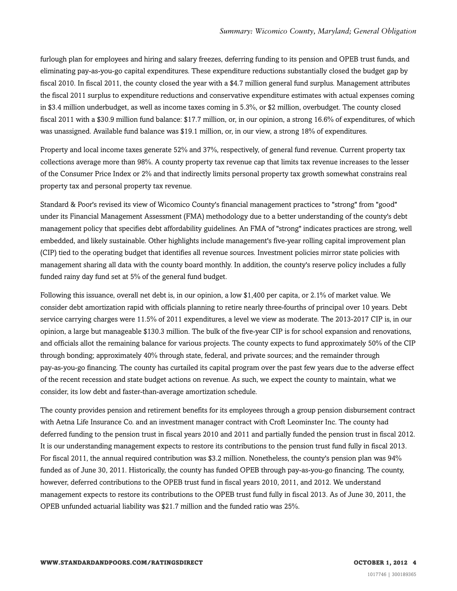furlough plan for employees and hiring and salary freezes, deferring funding to its pension and OPEB trust funds, and eliminating pay-as-you-go capital expenditures. These expenditure reductions substantially closed the budget gap by fiscal 2010. In fiscal 2011, the county closed the year with a \$4.7 million general fund surplus. Management attributes the fiscal 2011 surplus to expenditure reductions and conservative expenditure estimates with actual expenses coming in \$3.4 million underbudget, as well as income taxes coming in 5.3%, or \$2 million, overbudget. The county closed fiscal 2011 with a \$30.9 million fund balance: \$17.7 million, or, in our opinion, a strong 16.6% of expenditures, of which was unassigned. Available fund balance was \$19.1 million, or, in our view, a strong 18% of expenditures.

Property and local income taxes generate 52% and 37%, respectively, of general fund revenue. Current property tax collections average more than 98%. A county property tax revenue cap that limits tax revenue increases to the lesser of the Consumer Price Index or 2% and that indirectly limits personal property tax growth somewhat constrains real property tax and personal property tax revenue.

Standard & Poor's revised its view of Wicomico County's financial management practices to "strong" from "good" under its Financial Management Assessment (FMA) methodology due to a better understanding of the county's debt management policy that specifies debt affordability guidelines. An FMA of "strong" indicates practices are strong, well embedded, and likely sustainable. Other highlights include management's five-year rolling capital improvement plan (CIP) tied to the operating budget that identifies all revenue sources. Investment policies mirror state policies with management sharing all data with the county board monthly. In addition, the county's reserve policy includes a fully funded rainy day fund set at 5% of the general fund budget.

Following this issuance, overall net debt is, in our opinion, a low \$1,400 per capita, or 2.1% of market value. We consider debt amortization rapid with officials planning to retire nearly three-fourths of principal over 10 years. Debt service carrying charges were 11.5% of 2011 expenditures, a level we view as moderate. The 2013-2017 CIP is, in our opinion, a large but manageable \$130.3 million. The bulk of the five-year CIP is for school expansion and renovations, and officials allot the remaining balance for various projects. The county expects to fund approximately 50% of the CIP through bonding; approximately 40% through state, federal, and private sources; and the remainder through pay-as-you-go financing. The county has curtailed its capital program over the past few years due to the adverse effect of the recent recession and state budget actions on revenue. As such, we expect the county to maintain, what we consider, its low debt and faster-than-average amortization schedule.

The county provides pension and retirement benefits for its employees through a group pension disbursement contract with Aetna Life Insurance Co. and an investment manager contract with Croft Leominster Inc. The county had deferred funding to the pension trust in fiscal years 2010 and 2011 and partially funded the pension trust in fiscal 2012. It is our understanding management expects to restore its contributions to the pension trust fund fully in fiscal 2013. For fiscal 2011, the annual required contribution was \$3.2 million. Nonetheless, the county's pension plan was 94% funded as of June 30, 2011. Historically, the county has funded OPEB through pay-as-you-go financing. The county, however, deferred contributions to the OPEB trust fund in fiscal years 2010, 2011, and 2012. We understand management expects to restore its contributions to the OPEB trust fund fully in fiscal 2013. As of June 30, 2011, the OPEB unfunded actuarial liability was \$21.7 million and the funded ratio was 25%.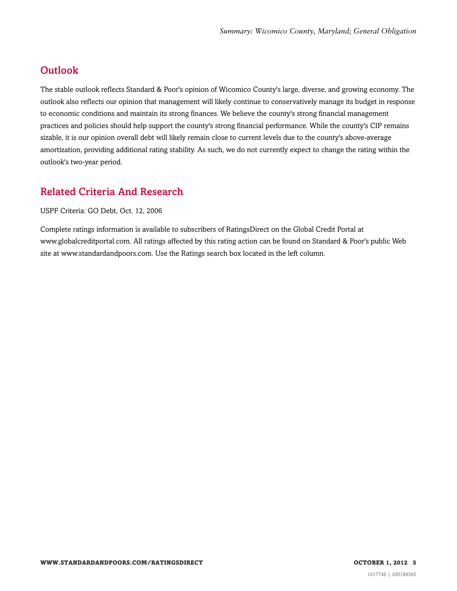### <span id="page-4-0"></span>**Outlook**

The stable outlook reflects Standard & Poor's opinion of Wicomico County's large, diverse, and growing economy. The outlook also reflects our opinion that management will likely continue to conservatively manage its budget in response to economic conditions and maintain its strong finances. We believe the county's strong financial management practices and policies should help support the county's strong financial performance. While the county's CIP remains sizable, it is our opinion overall debt will likely remain close to current levels due to the county's above-average amortization, providing additional rating stability. As such, we do not currently expect to change the rating within the outlook's two-year period.

### <span id="page-4-1"></span>Related Criteria And Research

USPF Criteria: GO Debt, Oct. 12, 2006

Complete ratings information is available to subscribers of RatingsDirect on the Global Credit Portal at www.globalcreditportal.com. All ratings affected by this rating action can be found on Standard & Poor's public Web site at www.standardandpoors.com. Use the Ratings search box located in the left column.